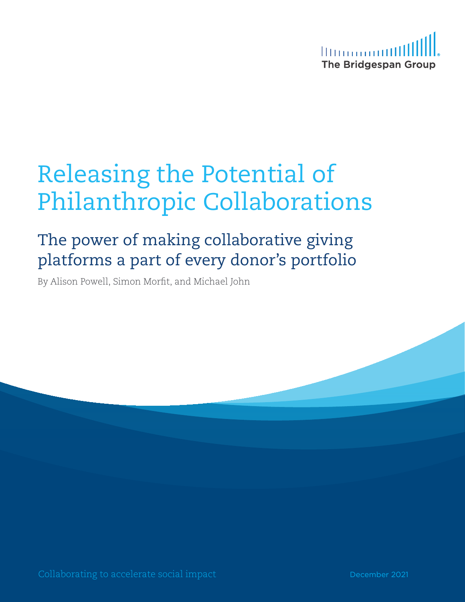

# Releasing the Potential of Philanthropic Collaborations

## The power of making collaborative giving platforms a part of every donor's portfolio

By Alison Powell, Simon Morfit, and Michael John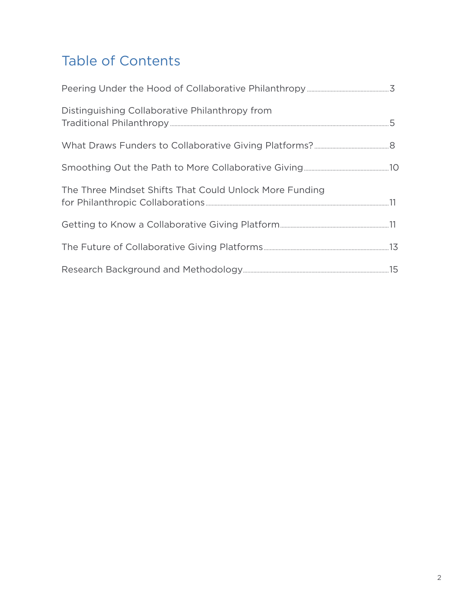## Table of Contents

| Distinguishing Collaborative Philanthropy from          |  |
|---------------------------------------------------------|--|
|                                                         |  |
|                                                         |  |
| The Three Mindset Shifts That Could Unlock More Funding |  |
|                                                         |  |
|                                                         |  |
|                                                         |  |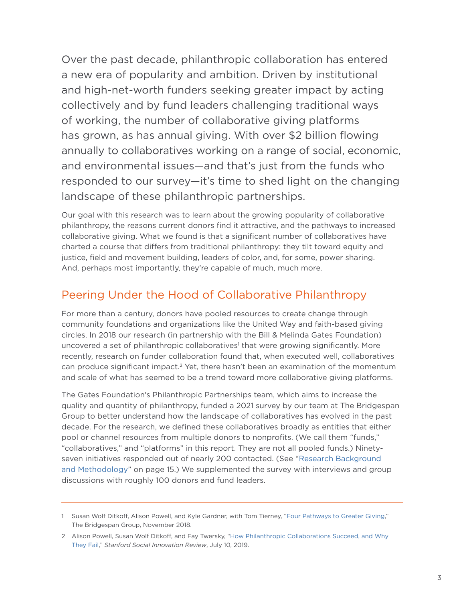<span id="page-2-0"></span>Over the past decade, philanthropic collaboration has entered a new era of popularity and ambition. Driven by institutional and high-net-worth funders seeking greater impact by acting collectively and by fund leaders challenging traditional ways of working, the number of collaborative giving platforms has grown, as has annual giving. With over \$2 billion flowing annually to collaboratives working on a range of social, economic, and environmental issues—and that's just from the funds who responded to our survey—it's time to shed light on the changing landscape of these philanthropic partnerships.

Our goal with this research was to learn about the growing popularity of collaborative philanthropy, the reasons current donors find it attractive, and the pathways to increased collaborative giving. What we found is that a significant number of collaboratives have charted a course that differs from traditional philanthropy: they tilt toward equity and justice, field and movement building, leaders of color, and, for some, power sharing. And, perhaps most importantly, they're capable of much, much more.

### Peering Under the Hood of Collaborative Philanthropy

For more than a century, donors have pooled resources to create change through community foundations and organizations like the United Way and faith-based giving circles. In 2018 our research (in partnership with the Bill & Melinda Gates Foundation) uncovered a set of philanthropic collaboratives<sup>1</sup> that were growing significantly. More recently, research on funder collaboration found that, when executed well, collaboratives can produce significant impact.<sup>2</sup> Yet, there hasn't been an examination of the momentum and scale of what has seemed to be a trend toward more collaborative giving platforms.

The Gates Foundation's Philanthropic Partnerships team, which aims to increase the quality and quantity of philanthropy, funded a 2021 survey by our team at The Bridgespan Group to better understand how the landscape of collaboratives has evolved in the past decade. For the research, we defined these collaboratives broadly as entities that either pool or channel resources from multiple donors to nonprofits. (We call them "funds," "collaboratives," and "platforms" in this report. They are not all pooled funds.) Ninetyseven initiatives responded out of nearly 200 contacted. (See "[Research Background](#page-14-1)  [and Methodology"](#page-14-1) on page 15.) We supplemented the survey with interviews and group discussions with roughly 100 donors and fund leaders.

<sup>1</sup> Susan Wolf Ditkoff, Alison Powell, and Kyle Gardner, with Tom Tierney, "[Four Pathways to Greater Giving,](https://www.bridgespan.org/insights/library/philanthropy/four-pathways-unlock-greater-philanthropic-giving)" The Bridgespan Group, November 2018.

<sup>2</sup> Alison Powell, Susan Wolf Ditkoff, and Fay Twersky, ["How Philanthropic Collaborations Succeed, and Why](https://ssir.org/articles/entry/how_philanthropic_collaborations_succeed_and_why_they_fail)  [They Fail](https://ssir.org/articles/entry/how_philanthropic_collaborations_succeed_and_why_they_fail)," *Stanford Social Innovation Review*, July 10, 2019.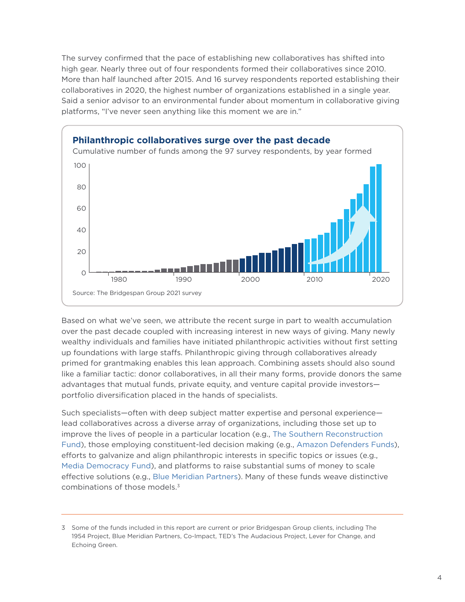The survey confirmed that the pace of establishing new collaboratives has shifted into high gear. Nearly three out of four respondents formed their collaboratives since 2010. More than half launched after 2015. And 16 survey respondents reported establishing their collaboratives in 2020, the highest number of organizations established in a single year. Said a senior advisor to an environmental funder about momentum in collaborative giving platforms, "I've never seen anything like this moment we are in."



Based on what we've seen, we attribute the recent surge in part to wealth accumulation over the past decade coupled with increasing interest in new ways of giving. Many newly wealthy individuals and families have initiated philanthropic activities without first setting up foundations with large staffs. Philanthropic giving through collaboratives already primed for grantmaking enables this lean approach. Combining assets should also sound like a familiar tactic: donor collaboratives, in all their many forms, provide donors the same advantages that mutual funds, private equity, and venture capital provide investors portfolio diversification placed in the hands of specialists.

Such specialists—often with deep subject matter expertise and personal experience lead collaboratives across a diverse array of organizations, including those set up to improve the lives of people in a particular location (e.g., [The Southern Reconstruction](https://www.southernreconstructionfund.org/)  [Fund\)](https://www.southernreconstructionfund.org/), those employing constituent-led decision making (e.g., [Amazon Defenders Funds](https://amazonwatch.org/get-involved/amazon-defenders-fund)), efforts to galvanize and align philanthropic interests in specific topics or issues (e.g., [Media Democracy Fund\)](https://mediademocracyfund.org/), and platforms to raise substantial sums of money to scale effective solutions (e.g., [Blue Meridian Partners](https://www.bluemeridian.org/)). Many of these funds weave distinctive combinations of those models.3

<sup>3</sup> Some of the funds included in this report are current or prior Bridgespan Group clients, including The 1954 Project, Blue Meridian Partners, Co-Impact, TED's The Audacious Project, Lever for Change, and Echoing Green.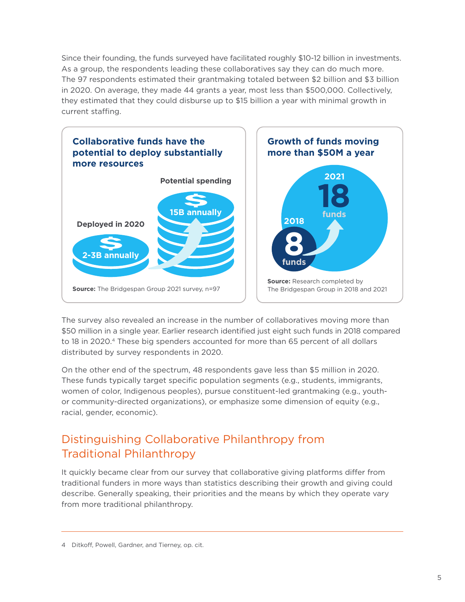<span id="page-4-0"></span>Since their founding, the funds surveyed have facilitated roughly \$10-12 billion in investments. As a group, the respondents leading these collaboratives say they can do much more. The 97 respondents estimated their grantmaking totaled between \$2 billion and \$3 billion in 2020. On average, they made 44 grants a year, most less than \$500,000. Collectively, they estimated that they could disburse up to \$15 billion a year with minimal growth in current staffing.



The survey also revealed an increase in the number of collaboratives moving more than \$50 million in a single year. Earlier research identified just eight such funds in 2018 compared to 18 in 2020.4 These big spenders accounted for more than 65 percent of all dollars distributed by survey respondents in 2020.

On the other end of the spectrum, 48 respondents gave less than \$5 million in 2020. These funds typically target specific population segments (e.g., students, immigrants, women of color, Indigenous peoples), pursue constituent-led grantmaking (e.g., youthor community-directed organizations), or emphasize some dimension of equity (e.g., racial, gender, economic).

## Distinguishing Collaborative Philanthropy from Traditional Philanthropy

It quickly became clear from our survey that collaborative giving platforms differ from traditional funders in more ways than statistics describing their growth and giving could describe. Generally speaking, their priorities and the means by which they operate vary from more traditional philanthropy.

<sup>4</sup> Ditkoff, Powell, Gardner, and Tierney, op. cit.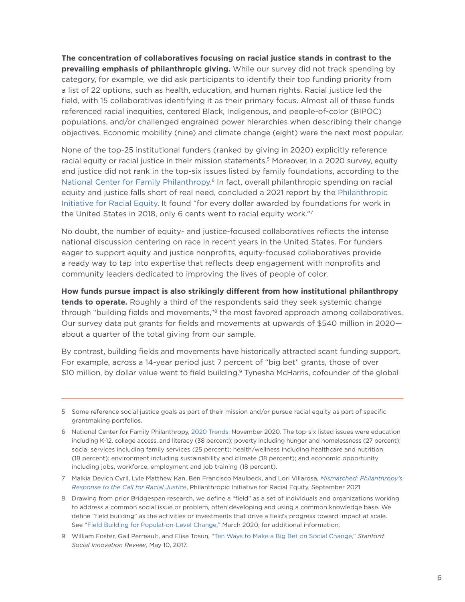**The concentration of collaboratives focusing on racial justice stands in contrast to the prevailing emphasis of philanthropic giving.** While our survey did not track spending by category, for example, we did ask participants to identify their top funding priority from a list of 22 options, such as health, education, and human rights. Racial justice led the field, with 15 collaboratives identifying it as their primary focus. Almost all of these funds referenced racial inequities, centered Black, Indigenous, and people-of-color (BIPOC) populations, and/or challenged engrained power hierarchies when describing their change objectives. Economic mobility (nine) and climate change (eight) were the next most popular.

None of the top-25 institutional funders (ranked by giving in 2020) explicitly reference racial equity or racial justice in their mission statements.<sup>5</sup> Moreover, in a 2020 survey, equity and justice did not rank in the top-six issues listed by family foundations, according to the [National Center for Family Philanthropy](http://National Center for Family Philanthropy ).<sup>6</sup> In fact, overall philanthropic spending on racial equity and justice falls short of real need, concluded a 2021 report by the [Philanthropic](https://racialequity.org/)  [Initiative for Racial Equity](https://racialequity.org/). It found "for every dollar awarded by foundations for work in the United States in 2018, only 6 cents went to racial equity work."7

No doubt, the number of equity- and justice-focused collaboratives reflects the intense national discussion centering on race in recent years in the United States. For funders eager to support equity and justice nonprofits, equity-focused collaboratives provide a ready way to tap into expertise that reflects deep engagement with nonprofits and community leaders dedicated to improving the lives of people of color.

**How funds pursue impact is also strikingly different from how institutional philanthropy tends to operate.** Roughly a third of the respondents said they seek systemic change through "building fields and movements,"<sup>8</sup> the most favored approach among collaboratives. Our survey data put grants for fields and movements at upwards of \$540 million in 2020 about a quarter of the total giving from our sample.

By contrast, building fields and movements have historically attracted scant funding support. For example, across a 14-year period just 7 percent of "big bet" grants, those of over \$10 million, by dollar value went to field building.<sup>9</sup> Tynesha McHarris, cofounder of the global

<sup>5</sup> Some reference social justice goals as part of their mission and/or pursue racial equity as part of specific grantmaking portfolios.

<sup>6</sup> National Center for Family Philanthropy, [2020 Trends,](https://www.ncfp.org/knowledge/trends-2020-foundation-identity/) November 2020. The top-six listed issues were education including K-12, college access, and literacy (38 percent); poverty including hunger and homelessness (27 percent); social services including family services (25 percent); health/wellness including healthcare and nutrition (18 percent); environment including sustainability and climate (18 percent); and economic opportunity including jobs, workforce, employment and job training (18 percent).

<sup>7</sup> Malkia Devich Cyril, Lyle Matthew Kan, Ben Francisco Maulbeck, and Lori Villarosa, *[Mismatched: Philanthropy's](https://racialequity.org/mismatched/)  [Response to the Call for Racial Justice](https://racialequity.org/mismatched/)*, Philanthropic Initiative for Racial Equity, September 2021.

<sup>8</sup> Drawing from prior Bridgespan research, we define a "field" as a set of individuals and organizations working to address a common social issue or problem, often developing and using a common knowledge base. We define "field building" as the activities or investments that drive a field's progress toward impact at scale. See ["Field Building for Population-Level Change](https://www.bridgespan.org/insights/library/philanthropy/field-building-for-population-level-change)," March 2020, for additional information.

<sup>9</sup> William Foster, Gail Perreault, and Elise Tosun, ["Ten Ways to Make a Big Bet on Social Change,](https://ssir.org/articles/entry/ten_ways_to_make_a_big_bet_on_social_change)" *Stanford Social Innovation Review*, May 10, 2017.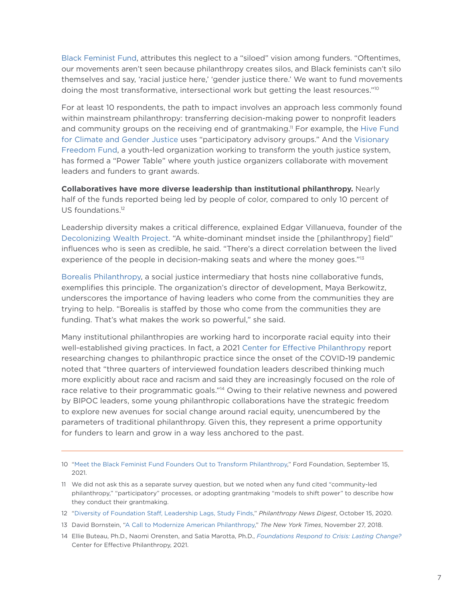[Black Feminist Fund,](https://www.blackfeministfund.org/english ) attributes this neglect to a "siloed" vision among funders. "Oftentimes, our movements aren't seen because philanthropy creates silos, and Black feminists can't silo themselves and say, 'racial justice here,' 'gender justice there.' We want to fund movements doing the most transformative, intersectional work but getting the least resources."10

For at least 10 respondents, the path to impact involves an approach less commonly found within mainstream philanthropy: transferring decision-making power to nonprofit leaders and community groups on the receiving end of grantmaking.<sup>11</sup> For example, the Hive Fund [for Climate and Gender Justice](https://www.hivefund.org/) uses "participatory advisory groups." And the [Visionary](https://affund.org/visionaryfreedomfund/)  [Freedom Fund](https://affund.org/visionaryfreedomfund/), a youth-led organization working to transform the youth justice system, has formed a "Power Table" where youth justice organizers collaborate with movement leaders and funders to grant awards.

**Collaboratives have more diverse leadership than institutional philanthropy.** Nearly half of the funds reported being led by people of color, compared to only 10 percent of US foundations.<sup>12</sup>

Leadership diversity makes a critical difference, explained Edgar Villanueva, founder of the [Decolonizing Wealth Project.](https://decolonizingwealth.com/) "A white-dominant mindset inside the [philanthropy] field" influences who is seen as credible, he said. "There's a direct correlation between the lived experience of the people in decision-making seats and where the money goes."<sup>13</sup>

[Borealis Philanthropy](https://borealisphilanthropy.org/), a social justice intermediary that hosts nine collaborative funds, exemplifies this principle. The organization's director of development, Maya Berkowitz, underscores the importance of having leaders who come from the communities they are trying to help. "Borealis is staffed by those who come from the communities they are funding. That's what makes the work so powerful," she said.

Many institutional philanthropies are working hard to incorporate racial equity into their well-established giving practices. In fact, a 2021 [Center for Effective Philanthropy](https://cep.org/) report researching changes to philanthropic practice since the onset of the COVID-19 pandemic noted that "three quarters of interviewed foundation leaders described thinking much more explicitly about race and racism and said they are increasingly focused on the role of race relative to their programmatic goals."14 Owing to their relative newness and powered by BIPOC leaders, some young philanthropic collaborations have the strategic freedom to explore new avenues for social change around racial equity, unencumbered by the parameters of traditional philanthropy. Given this, they represent a prime opportunity for funders to learn and grow in a way less anchored to the past.

<sup>10</sup> ["Meet the Black Feminist Fund Founders Out to Transform Philanthropy](https://www.fordfoundation.org/just-matters/just-matters/posts/meet-the-black-feminist-fund-founders-out-to-transform-philanthropy/)," Ford Foundation, September 15, 2021.

<sup>11</sup> We did not ask this as a separate survey question, but we noted when any fund cited "community-led philanthropy," "participatory" processes, or adopting grantmaking "models to shift power" to describe how they conduct their grantmaking.

<sup>12</sup> ["Diversity of Foundation Staff, Leadership Lags, Study Finds](https://philanthropynewsdigest.org/news/diversity-of-foundation-staff-leadership-lags-study-finds)," *Philanthropy News Digest*, October 15, 2020.

<sup>13</sup> David Bornstein, ["A Call to Modernize American Philanthropy](https://www.nytimes.com/2018/11/27/opinion/philanthropy-minorities-charities.html)," *The New York Times*, November 27, 2018.

<sup>14</sup> Ellie Buteau, Ph.D., Naomi Orensten, and Satia Marotta, Ph.D., *[Foundations Respond to Crisis: Lasting Change?](http://cep.org/wp-content/uploads/2021/11/CEP_Foundations-Respond-to-Crisis_Lasting_Change.pdf)* Center for Effective Philanthropy, 2021.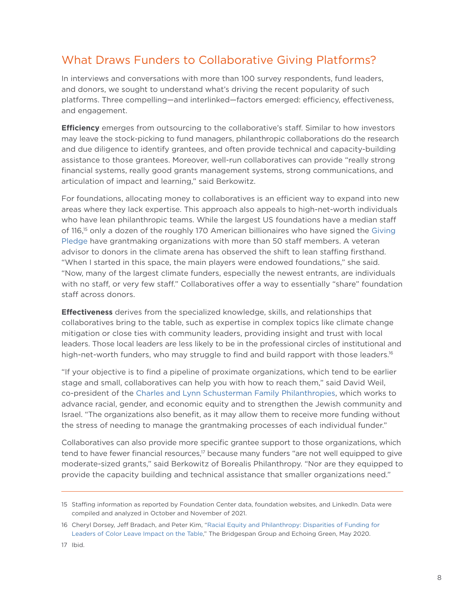## <span id="page-7-0"></span>What Draws Funders to Collaborative Giving Platforms?

In interviews and conversations with more than 100 survey respondents, fund leaders, and donors, we sought to understand what's driving the recent popularity of such platforms. Three compelling—and interlinked—factors emerged: efficiency, effectiveness, and engagement.

**Efficiency** emerges from outsourcing to the collaborative's staff. Similar to how investors may leave the stock-picking to fund managers, philanthropic collaborations do the research and due diligence to identify grantees, and often provide technical and capacity-building assistance to those grantees. Moreover, well-run collaboratives can provide "really strong financial systems, really good grants management systems, strong communications, and articulation of impact and learning," said Berkowitz.

For foundations, allocating money to collaboratives is an efficient way to expand into new areas where they lack expertise. This approach also appeals to high-net-worth individuals who have lean philanthropic teams. While the largest US foundations have a median staff of 116,15 only a dozen of the roughly 170 American billionaires who have signed the [Giving](https://www.givingpledge.org/)  [Pledge](https://www.givingpledge.org/) have grantmaking organizations with more than 50 staff members. A veteran advisor to donors in the climate arena has observed the shift to lean staffing firsthand. "When I started in this space, the main players were endowed foundations," she said. "Now, many of the largest climate funders, especially the newest entrants, are individuals with no staff, or very few staff." Collaboratives offer a way to essentially "share" foundation staff across donors.

**Effectiveness** derives from the specialized knowledge, skills, and relationships that collaboratives bring to the table, such as expertise in complex topics like climate change mitigation or close ties with community leaders, providing insight and trust with local leaders. Those local leaders are less likely to be in the professional circles of institutional and high-net-worth funders, who may struggle to find and build rapport with those leaders.<sup>16</sup>

"If your objective is to find a pipeline of proximate organizations, which tend to be earlier stage and small, collaboratives can help you with how to reach them," said David Weil, co-president of the [Charles and Lynn Schusterman Family Philanthropies,](https://www.schusterman.org/) which works to advance racial, gender, and economic equity and to strengthen the Jewish community and Israel. "The organizations also benefit, as it may allow them to receive more funding without the stress of needing to manage the grantmaking processes of each individual funder."

Collaboratives can also provide more specific grantee support to those organizations, which tend to have fewer financial resources,<sup>17</sup> because many funders "are not well equipped to give moderate-sized grants," said Berkowitz of Borealis Philanthropy. "Nor are they equipped to provide the capacity building and technical assistance that smaller organizations need."

<sup>15</sup> Staffing information as reported by Foundation Center data, foundation websites, and LinkedIn. Data were compiled and analyzed in October and November of 2021.

<sup>16</sup> Cheryl Dorsey, Jeff Bradach, and Peter Kim, ["Racial Equity and Philanthropy: Disparities of Funding for](https://www.bridgespan.org/insights/library/philanthropy/disparities-nonprofit-funding-for-leaders-of-color)  [Leaders of Color Leave Impact on the Table](https://www.bridgespan.org/insights/library/philanthropy/disparities-nonprofit-funding-for-leaders-of-color)," The Bridgespan Group and Echoing Green, May 2020.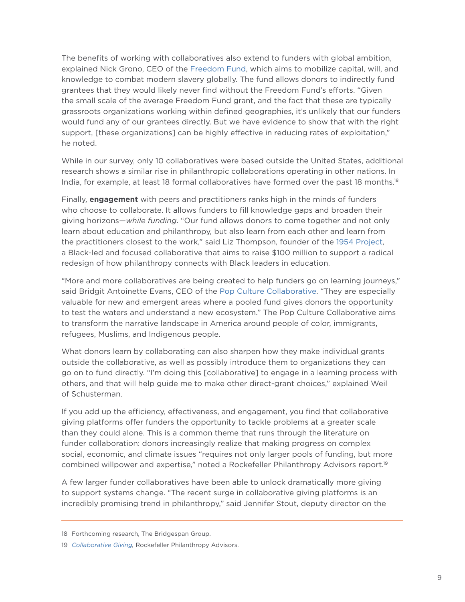The benefits of working with collaboratives also extend to funders with global ambition, explained Nick Grono, CEO of the [Freedom Fund,](https://freedomfund.org/) which aims to mobilize capital, will, and knowledge to combat modern slavery globally. The fund allows donors to indirectly fund grantees that they would likely never find without the Freedom Fund's efforts. "Given the small scale of the average Freedom Fund grant, and the fact that these are typically grassroots organizations working within defined geographies, it's unlikely that our funders would fund any of our grantees directly. But we have evidence to show that with the right support, [these organizations] can be highly effective in reducing rates of exploitation," he noted.

While in our survey, only 10 collaboratives were based outside the United States, additional research shows a similar rise in philanthropic collaborations operating in other nations. In India, for example, at least 18 formal collaboratives have formed over the past 18 months.<sup>18</sup>

Finally, **engagement** with peers and practitioners ranks high in the minds of funders who choose to collaborate. It allows funders to fill knowledge gaps and broaden their giving horizons—*while funding*. "Our fund allows donors to come together and not only learn about education and philanthropy, but also learn from each other and learn from the practitioners closest to the work," said Liz Thompson, founder of the [1954 Project,](https://www.1954project.org/) a Black-led and focused collaborative that aims to raise \$100 million to support a radical redesign of how philanthropy connects with Black leaders in education.

"More and more collaboratives are being created to help funders go on learning journeys," said Bridgit Antoinette Evans, CEO of the [Pop Culture Collaborative.](https://popcollab.org/) "They are especially valuable for new and emergent areas where a pooled fund gives donors the opportunity to test the waters and understand a new ecosystem." The Pop Culture Collaborative aims to transform the narrative landscape in America around people of color, immigrants, refugees, Muslims, and Indigenous people.

What donors learn by collaborating can also sharpen how they make individual grants outside the collaborative, as well as possibly introduce them to organizations they can go on to fund directly. "I'm doing this [collaborative] to engage in a learning process with others, and that will help guide me to make other direct-grant choices," explained Weil of Schusterman.

If you add up the efficiency, effectiveness, and engagement, you find that collaborative giving platforms offer funders the opportunity to tackle problems at a greater scale than they could alone. This is a common theme that runs through the literature on funder collaboration: donors increasingly realize that making progress on complex social, economic, and climate issues "requires not only larger pools of funding, but more combined willpower and expertise," noted a Rockefeller Philanthropy Advisors report.19

A few larger funder collaboratives have been able to unlock dramatically more giving to support systems change. "The recent surge in collaborative giving platforms is an incredibly promising trend in philanthropy," said Jennifer Stout, deputy director on the

<sup>18</sup> Forthcoming research, The Bridgespan Group.

<sup>19</sup> *[Collaborative Giving](https://www.rockpa.org/wp-content/uploads/2017/12/RPA_PRM_Collaborative_Giving_FINAL-web.pdf),* Rockefeller Philanthropy Advisors.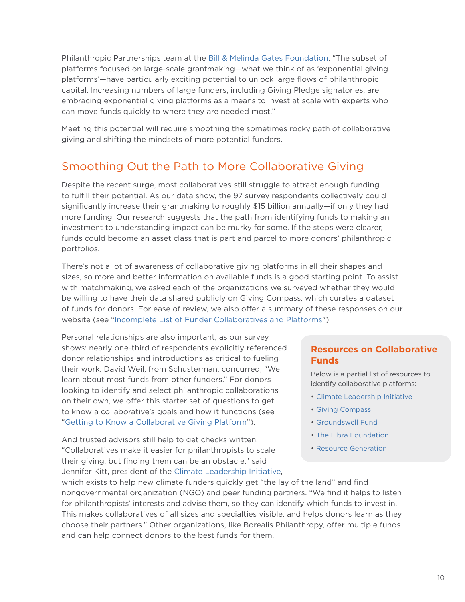<span id="page-9-0"></span>Philanthropic Partnerships team at the [Bill & Melinda Gates Foundation](https://www.gatesfoundation.org/our-work/programs/global-policy-and-advocacy/philanthropic-partnerships). "The subset of platforms focused on large-scale grantmaking—what we think of as 'exponential giving platforms'—have particularly exciting potential to unlock large flows of philanthropic capital. Increasing numbers of large funders, including Giving Pledge signatories, are embracing exponential giving platforms as a means to invest at scale with experts who can move funds quickly to where they are needed most."

Meeting this potential will require smoothing the sometimes rocky path of collaborative giving and shifting the mindsets of more potential funders.

## Smoothing Out the Path to More Collaborative Giving

Despite the recent surge, most collaboratives still struggle to attract enough funding to fulfill their potential. As our data show, the 97 survey respondents collectively could significantly increase their grantmaking to roughly \$15 billion annually—if only they had more funding. Our research suggests that the path from identifying funds to making an investment to understanding impact can be murky for some. If the steps were clearer, funds could become an asset class that is part and parcel to more donors' philanthropic portfolios.

There's not a lot of awareness of collaborative giving platforms in all their shapes and sizes, so more and better information on available funds is a good starting point. To assist with matchmaking, we asked each of the organizations we surveyed whether they would be willing to have their data shared publicly on Giving Compass, which curates a dataset of funds for donors. For ease of review, we also offer a summary of these responses on our website (see "[Incomplete List of Funder Collaboratives and Platforms"](https://www.bridgespan.org/getmedia/89292b37-7fdc-4b93-9e6b-9ae8ba3948c2/incomplete-list-of-funder-collaboratives-and-platforms.pdf.aspx)).

Personal relationships are also important, as our survey shows: nearly one-third of respondents explicitly referenced donor relationships and introductions as critical to fueling their work. David Weil, from Schusterman, concurred, "We learn about most funds from other funders." For donors looking to identify and select philanthropic collaborations on their own, we offer this starter set of questions to get to know a collaborative's goals and how it functions (see ["Getting to Know a Collaborative Giving Platform](#page-10-1)").

And trusted advisors still help to get checks written. "Collaboratives make it easier for philanthropists to scale their giving, but finding them can be an obstacle," said Jennifer Kitt, president of the [Climate Leadership Initiative,](https://climatelead.org/)

#### **Resources on Collaborative Funds**

Below is a partial list of resources to identify collaborative platforms:

- [Climate Leadership Initiative](https://climatelead.org/)
- [Giving Compass](https://givingcompass.org/funds )
- [Groundswell](https://groundswellfund.org/open-letter-philanthropy/) Fund
- [The Libra Foundation](https://www.thelibrafoundation.org/2021/11/the-libra-foundation-approves-20-325-million-in-grants-for-social-justice-organizations/)
- [Resource Generation](https://resourcegeneration.org/give-big-give-now-keep-giving-for-social-justice/)

which exists to help new climate funders quickly get "the lay of the land" and find nongovernmental organization (NGO) and peer funding partners. "We find it helps to listen for philanthropists' interests and advise them, so they can identify which funds to invest in. This makes collaboratives of all sizes and specialties visible, and helps donors learn as they choose their partners." Other organizations, like Borealis Philanthropy, offer multiple funds and can help connect donors to the best funds for them.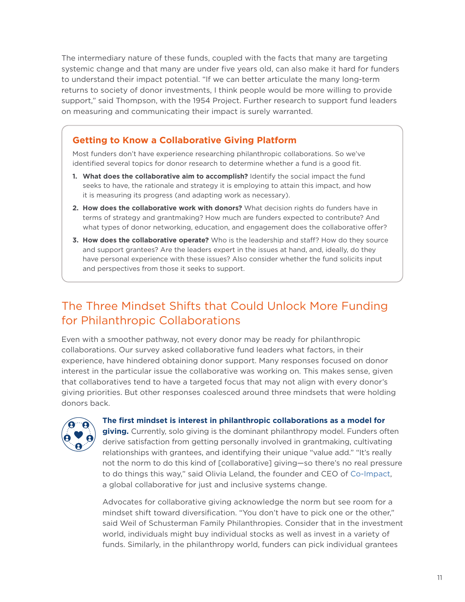<span id="page-10-0"></span>The intermediary nature of these funds, coupled with the facts that many are targeting systemic change and that many are under five years old, can also make it hard for funders to understand their impact potential. "If we can better articulate the many long-term returns to society of donor investments, I think people would be more willing to provide support," said Thompson, with the 1954 Project. Further research to support fund leaders on measuring and communicating their impact is surely warranted.

#### <span id="page-10-1"></span>**Getting to Know a Collaborative Giving Platform**

Most funders don't have experience researching philanthropic collaborations. So we've identified several topics for donor research to determine whether a fund is a good fit.

- **1. What does the collaborative aim to accomplish?** Identify the social impact the fund seeks to have, the rationale and strategy it is employing to attain this impact, and how it is measuring its progress (and adapting work as necessary).
- **2. How does the collaborative work with donors?** What decision rights do funders have in terms of strategy and grantmaking? How much are funders expected to contribute? And what types of donor networking, education, and engagement does the collaborative offer?
- **3. How does the collaborative operate?** Who is the leadership and staff? How do they source and support grantees? Are the leaders expert in the issues at hand, and, ideally, do they have personal experience with these issues? Also consider whether the fund solicits input and perspectives from those it seeks to support.

## The Three Mindset Shifts that Could Unlock More Funding for Philanthropic Collaborations

Even with a smoother pathway, not every donor may be ready for philanthropic collaborations. Our survey asked collaborative fund leaders what factors, in their experience, have hindered obtaining donor support. Many responses focused on donor interest in the particular issue the collaborative was working on. This makes sense, given that collaboratives tend to have a targeted focus that may not align with every donor's giving priorities. But other responses coalesced around three mindsets that were holding donors back.



**The first mindset is interest in philanthropic collaborations as a model for** 

**giving.** Currently, solo giving is the dominant philanthropy model. Funders often derive satisfaction from getting personally involved in grantmaking, cultivating relationships with grantees, and identifying their unique "value add." "It's really not the norm to do this kind of [collaborative] giving—so there's no real pressure to do things this way," said Olivia Leland, the founder and CEO of [Co-Impact,](https://www.co-impact.org/) a global collaborative for just and inclusive systems change.

Advocates for collaborative giving acknowledge the norm but see room for a mindset shift toward diversification. "You don't have to pick one or the other," said Weil of Schusterman Family Philanthropies. Consider that in the investment world, individuals might buy individual stocks as well as invest in a variety of funds. Similarly, in the philanthropy world, funders can pick individual grantees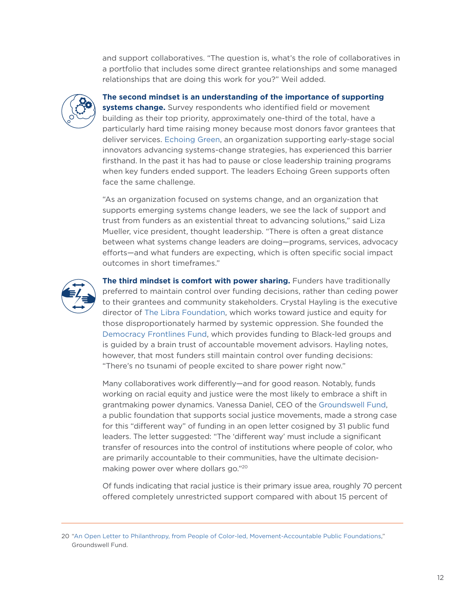and support collaboratives. "The question is, what's the role of collaboratives in a portfolio that includes some direct grantee relationships and some managed relationships that are doing this work for you?" Weil added.



#### **The second mindset is an understanding of the importance of supporting**

**systems change.** Survey respondents who identified field or movement building as their top priority, approximately one-third of the total, have a particularly hard time raising money because most donors favor grantees that deliver services. [Echoing Green,](https://echoinggreen.org/) an organization supporting early-stage social innovators advancing systems-change strategies, has experienced this barrier firsthand. In the past it has had to pause or close leadership training programs when key funders ended support. The leaders Echoing Green supports often face the same challenge.

"As an organization focused on systems change, and an organization that supports emerging systems change leaders, we see the lack of support and trust from funders as an existential threat to advancing solutions," said Liza Mueller, vice president, thought leadership. "There is often a great distance between what systems change leaders are doing—programs, services, advocacy efforts—and what funders are expecting, which is often specific social impact outcomes in short timeframes."



**The third mindset is comfort with power sharing.** Funders have traditionally preferred to maintain control over funding decisions, rather than ceding power to their grantees and community stakeholders. Crystal Hayling is the executive director of [The Libra Foundation,](https://www.thelibrafoundation.org/) which works toward justice and equity for those disproportionately harmed by systemic oppression. She founded the [Democracy Frontlines Fund](https://www.democracyfrontlinesfund.org/), which provides funding to Black-led groups and is guided by a brain trust of accountable movement advisors. Hayling notes, however, that most funders still maintain control over funding decisions: "There's no tsunami of people excited to share power right now."

Many collaboratives work differently—and for good reason. Notably, funds working on racial equity and justice were the most likely to embrace a shift in grantmaking power dynamics. Vanessa Daniel, CEO of the [Groundswell Fund](https://groundswellfund.org/), a public foundation that supports social justice movements, made a strong case for this "different way" of funding in an open letter cosigned by 31 public fund leaders. The letter suggested: "The 'different way' must include a significant transfer of resources into the control of institutions where people of color, who are primarily accountable to their communities, have the ultimate decisionmaking power over where dollars go."20

Of funds indicating that racial justice is their primary issue area, roughly 70 percent offered completely unrestricted support compared with about 15 percent of

<sup>20</sup> ["An Open Letter to Philanthropy, from People of Color-led, Movement-Accountable Public Foundations](https://groundswellfund.org/open-letter-philanthropy/)," Groundswell Fund.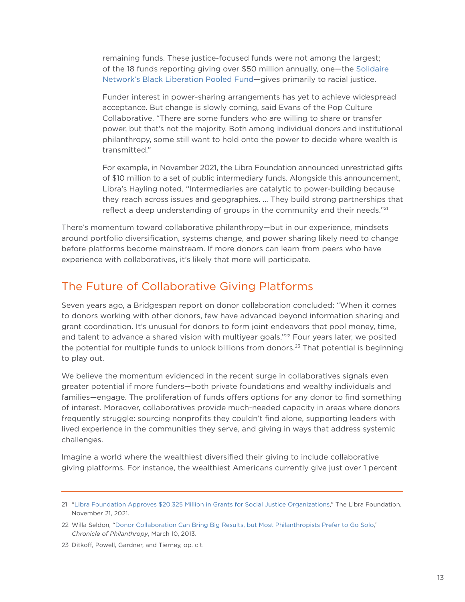<span id="page-12-0"></span>remaining funds. These justice-focused funds were not among the largest; of the 18 funds reporting giving over \$50 million annually, one—the [Solidaire](https://solidairenetwork.org/grantmaking/black-liberation-pooled-fund/)  [Network's Black Liberation Pooled Fund](https://solidairenetwork.org/grantmaking/black-liberation-pooled-fund/)—gives primarily to racial justice.

Funder interest in power-sharing arrangements has yet to achieve widespread acceptance. But change is slowly coming, said Evans of the Pop Culture Collaborative. "There are some funders who are willing to share or transfer power, but that's not the majority. Both among individual donors and institutional philanthropy, some still want to hold onto the power to decide where wealth is transmitted."

For example, in November 2021, the Libra Foundation announced unrestricted gifts of \$10 million to a set of public intermediary funds. Alongside this announcement, Libra's Hayling noted, "Intermediaries are catalytic to power-building because they reach across issues and geographies. … They build strong partnerships that reflect a deep understanding of groups in the community and their needs."<sup>21</sup>

There's momentum toward collaborative philanthropy—but in our experience, mindsets around portfolio diversification, systems change, and power sharing likely need to change before platforms become mainstream. If more donors can learn from peers who have experience with collaboratives, it's likely that more will participate.

### The Future of Collaborative Giving Platforms

Seven years ago, a Bridgespan report on donor collaboration concluded: "When it comes to donors working with other donors, few have advanced beyond information sharing and grant coordination. It's unusual for donors to form joint endeavors that pool money, time, and talent to advance a shared vision with multiyear goals."<sup>22</sup> Four years later, we posited the potential for multiple funds to unlock billions from donors.<sup>23</sup> That potential is beginning to play out.

We believe the momentum evidenced in the recent surge in collaboratives signals even greater potential if more funders—both private foundations and wealthy individuals and families—engage. The proliferation of funds offers options for any donor to find something of interest. Moreover, collaboratives provide much-needed capacity in areas where donors frequently struggle: sourcing nonprofits they couldn't find alone, supporting leaders with lived experience in the communities they serve, and giving in ways that address systemic challenges.

Imagine a world where the wealthiest diversified their giving to include collaborative giving platforms. For instance, the wealthiest Americans currently give just over 1 percent

23 Ditkoff, Powell, Gardner, and Tierney, op. cit.

<sup>21</sup> ["Libra Foundation Approves \\$20.325 Million in Grants for Social Justice Organizations](https://www.thelibrafoundation.org/2021/11/the-libra-foundation-approves-20-325-million-in-grants-for-social-justice-organizations/)," The Libra Foundation, November 21, 2021.

<sup>22</sup> Willa Seldon, "[Donor Collaboration Can Bring Big Results, but Most Philanthropists Prefer to Go Solo](https://www.philanthropy.com/article/donor-collaboration-can-bring-big-results-but-most-philanthropists-prefer-to-go-solo/)," *Chronicle of Philanthropy*, March 10, 2013.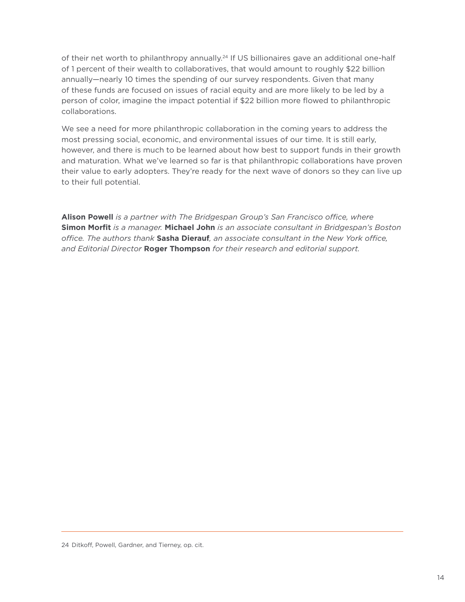of their net worth to philanthropy annually.<sup>24</sup> If US billionaires gave an additional one-half of 1 percent of their wealth to collaboratives, that would amount to roughly \$22 billion annually—nearly 10 times the spending of our survey respondents. Given that many of these funds are focused on issues of racial equity and are more likely to be led by a person of color, imagine the impact potential if \$22 billion more flowed to philanthropic collaborations.

We see a need for more philanthropic collaboration in the coming years to address the most pressing social, economic, and environmental issues of our time. It is still early, however, and there is much to be learned about how best to support funds in their growth and maturation. What we've learned so far is that philanthropic collaborations have proven their value to early adopters. They're ready for the next wave of donors so they can live up to their full potential.

**Alison Powell** *is a partner with The Bridgespan Group's San Francisco office, where*  **Simon Morfit** *is a manager.* **Michael John** *is an associate consultant in Bridgespan's Boston office. The authors thank* **Sasha Dierauf***, an associate consultant in the New York office, and Editorial Director* **Roger Thompson** *for their research and editorial support.*